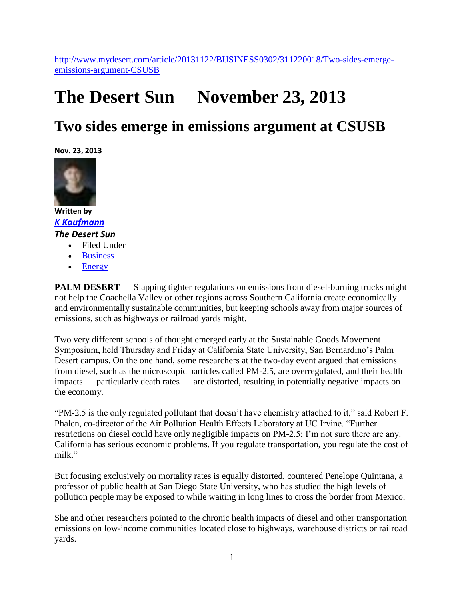[http://www.mydesert.com/article/20131122/BUSINESS0302/311220018/Two-sides-emerge](http://www.mydesert.com/article/20131122/BUSINESS0302/311220018/Two-sides-emerge-emissions-argument-CSUSB)[emissions-argument-CSUSB](http://www.mydesert.com/article/20131122/BUSINESS0302/311220018/Two-sides-emerge-emissions-argument-CSUSB)

## **The Desert Sun November 23, 2013**

## **Two sides emerge in emissions argument at CSUSB**

**Nov. 23, 2013** 



## **Written by** *[K Kaufmann](mailto:k.Kaufmann@thedesertsun.com)*

## *The Desert Sun*

- Filed Under
- [Business](http://www.mydesert.com/section/BUSINESS)
- $\bullet$  [Energy](http://www.mydesert.com/section/BUSINESS0302)

PALM DESERT — Slapping tighter regulations on emissions from diesel-burning trucks might not help the Coachella Valley or other regions across Southern California create economically and environmentally sustainable communities, but keeping schools away from major sources of emissions, such as highways or railroad yards might.

Two very different schools of thought emerged early at the Sustainable Goods Movement Symposium, held Thursday and Friday at California State University, San Bernardino's Palm Desert campus. On the one hand, some researchers at the two-day event argued that emissions from diesel, such as the microscopic particles called PM-2.5, are overregulated, and their health impacts — particularly death rates — are distorted, resulting in potentially negative impacts on the economy.

"PM-2.5 is the only regulated pollutant that doesn't have chemistry attached to it," said Robert F. Phalen, co-director of the Air Pollution Health Effects Laboratory at UC Irvine. "Further restrictions on diesel could have only negligible impacts on PM-2.5; I'm not sure there are any. California has serious economic problems. If you regulate transportation, you regulate the cost of milk."

But focusing exclusively on mortality rates is equally distorted, countered Penelope Quintana, a professor of public health at San Diego State University, who has studied the high levels of pollution people may be exposed to while waiting in long lines to cross the border from Mexico.

She and other researchers pointed to the chronic health impacts of diesel and other transportation emissions on low-income communities located close to highways, warehouse districts or railroad yards.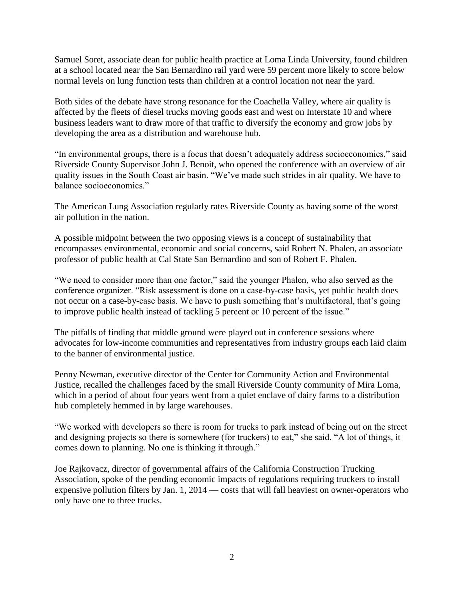Samuel Soret, associate dean for public health practice at Loma Linda University, found children at a school located near the San Bernardino rail yard were 59 percent more likely to score below normal levels on lung function tests than children at a control location not near the yard.

Both sides of the debate have strong resonance for the Coachella Valley, where air quality is affected by the fleets of diesel trucks moving goods east and west on Interstate 10 and where business leaders want to draw more of that traffic to diversify the economy and grow jobs by developing the area as a distribution and warehouse hub.

"In environmental groups, there is a focus that doesn't adequately address socioeconomics," said Riverside County Supervisor John J. Benoit, who opened the conference with an overview of air quality issues in the South Coast air basin. "We've made such strides in air quality. We have to balance socioeconomics."

The American Lung Association regularly rates Riverside County as having some of the worst air pollution in the nation.

A possible midpoint between the two opposing views is a concept of sustainability that encompasses environmental, economic and social concerns, said Robert N. Phalen, an associate professor of public health at Cal State San Bernardino and son of Robert F. Phalen.

"We need to consider more than one factor," said the younger Phalen, who also served as the conference organizer. "Risk assessment is done on a case-by-case basis, yet public health does not occur on a case-by-case basis. We have to push something that's multifactoral, that's going to improve public health instead of tackling 5 percent or 10 percent of the issue."

The pitfalls of finding that middle ground were played out in conference sessions where advocates for low-income communities and representatives from industry groups each laid claim to the banner of environmental justice.

Penny Newman, executive director of the Center for Community Action and Environmental Justice, recalled the challenges faced by the small Riverside County community of Mira Loma, which in a period of about four years went from a quiet enclave of dairy farms to a distribution hub completely hemmed in by large warehouses.

"We worked with developers so there is room for trucks to park instead of being out on the street and designing projects so there is somewhere (for truckers) to eat," she said. "A lot of things, it comes down to planning. No one is thinking it through."

Joe Rajkovacz, director of governmental affairs of the California Construction Trucking Association, spoke of the pending economic impacts of regulations requiring truckers to install expensive pollution filters by Jan. 1, 2014 — costs that will fall heaviest on owner-operators who only have one to three trucks.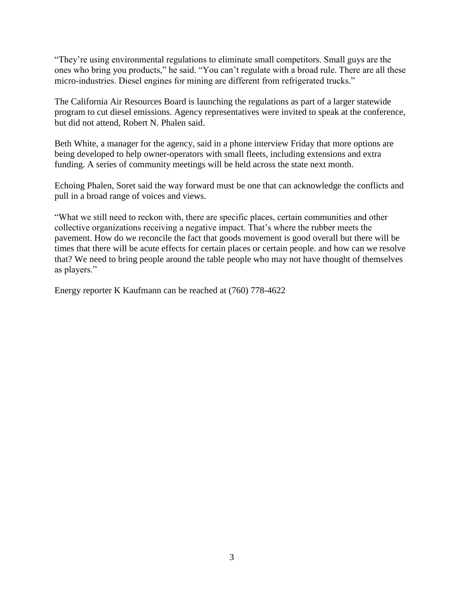"They're using environmental regulations to eliminate small competitors. Small guys are the ones who bring you products," he said. "You can't regulate with a broad rule. There are all these micro-industries. Diesel engines for mining are different from refrigerated trucks."

The California Air Resources Board is launching the regulations as part of a larger statewide program to cut diesel emissions. Agency representatives were invited to speak at the conference, but did not attend, Robert N. Phalen said.

Beth White, a manager for the agency, said in a phone interview Friday that more options are being developed to help owner-operators with small fleets, including extensions and extra funding. A series of community meetings will be held across the state next month.

Echoing Phalen, Soret said the way forward must be one that can acknowledge the conflicts and pull in a broad range of voices and views.

"What we still need to reckon with, there are specific places, certain communities and other collective organizations receiving a negative impact. That's where the rubber meets the pavement. How do we reconcile the fact that goods movement is good overall but there will be times that there will be acute effects for certain places or certain people. and how can we resolve that? We need to bring people around the table people who may not have thought of themselves as players."

Energy reporter K Kaufmann can be reached at (760) 778-4622